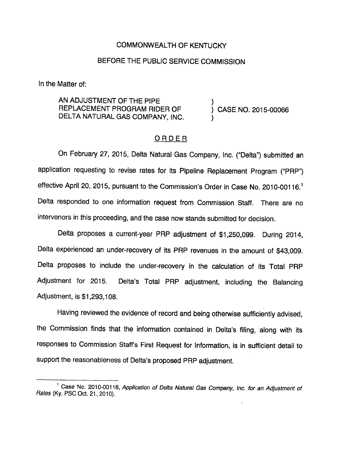### COMMONWEALTH OF KENTUCKY

#### BEFORE THE PUBLIC SERVICE COMMISSION

In the Matter of:

AN ADJUSTMENT OF THE PIPE REPLACEMENT PROGRAM RIDER OF (2015-00066) DELTA NATURAL GAS COMPANY, INC.

#### ORDER

On February 27, 2015, Delta Natural Gas Company, Inc. ("Delta") submitted an application requesting to revise rates for its Pipeline Replacement Program ("PRP") effective April 20, 2015, pursuant to the Commission's Order in Case No. 2010-00116."' Delta responded to one information request from Commission Staff. There are no intervenors in this proceeding, and the case now stands submitted for decision.

Delta proposes a current-year PRP adjustment of \$1,250,099. During 2014, Delta experienced an under-recovery of its PRP revenues in the amount of \$43,009. Delta proposes to include the under-recovery in the calculation of its Total PRP Adjustment for 2015. Delta's Total PRP adjustment, including the Balancing Adjustment, is \$1,293,108.

Having reviewed the evidence of record and being otherwise sufficiently advised, the Commission finds that the information contained in Delta's filing, along with its responses to Commission Staffs First Request for Information, is in sufficient detail to support the reasonableness of Delta's proposed PRP adjustment.

<sup>&</sup>lt;sup>1</sup> Case No. 2010-00116, Application of Delta Natural Gas Company, Inc. for an Adjustment of Rates (Ky. PSG Oct. 21,2010).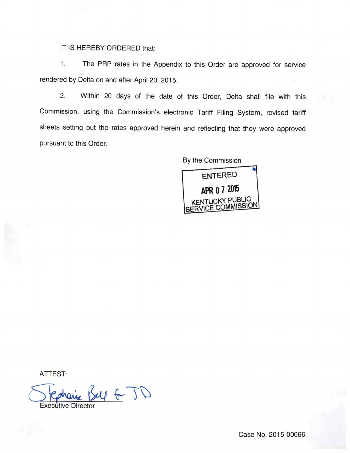## IT IS HEREBY ORDERED that:

1. The PRP rates in the Appendix to this Order are approved for service rendered by Delta on and after April 20, 2015.

2. Within 20 days of the date of this Order, Delta shall file with this Commission, using the Commission's electronic Tariff Filing System, revised tariff sheets setting out the rates approved herein and reflecting that they were approved pursuant to this Order.

By the Commission



ATTEST:

Sephanic Buy for JD

Case No. 2015-00066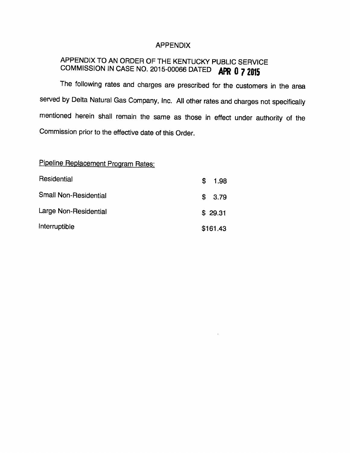## APPENDIX

# APPENDIX TO AN ORDER OF THE KENTUCKY PUBLIC SERVICE COMMISSION IN CASE NO. 2015-00066 DATED **APR 0 7 2015**

The following rates and charges are prescribed for the customers in the area served by Delta Natural Gas Company, Inc. All other rates and charges not specifically mentioned herein shall remain the same as those in effect under authority of the Commission prior to the effective date of this Order.

 $\ddot{\phantom{a}}$ 

| <b>Pipeline Replacement Program Rates:</b> |            |
|--------------------------------------------|------------|
| Residential                                | \$<br>1.98 |
| Small Non-Residential                      | \$3.79     |
| Large Non-Residential                      | \$29.31    |
| Interruptible                              | \$161.43   |